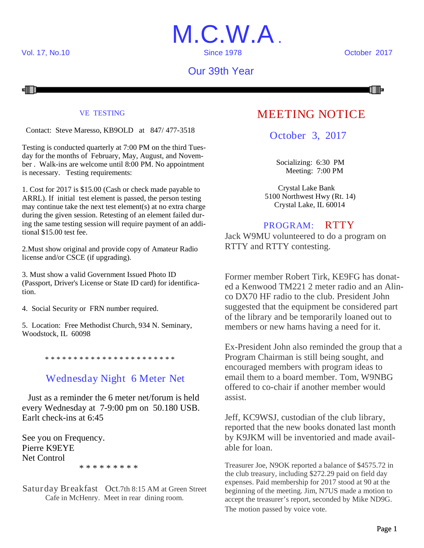

## Our 39th Year



#### VE TESTING

Contact: Steve Maresso, KB9OLD at 847/ 477-3518

Testing is conducted quarterly at 7:00 PM on the third Tuesday for the months of February, May, August, and November . Walk-ins are welcome until 8:00 PM. No appointment is necessary. Testing requirements:

1. Cost for 2017 is \$15.00 (Cash or check made payable to ARRL). If initial test element is passed, the person testing may continue take the next test element(s) at no extra charge during the given session. Retesting of an element failed during the same testing session will require payment of an additional \$15.00 test fee.

2.Must show original and provide copy of Amateur Radio license and/or CSCE (if upgrading).

3. Must show a valid Government Issued Photo ID (Passport, Driver's License or State ID card) for identification.

4. Social Security or FRN number required.

5. Location: Free Methodist Church, 934 N. Seminary, Woodstock, IL 60098

\* \* \* \* \* \* \* \* \* \* \* \* \* \* \* \* \* \* \* \* \* \* \*

## Wednesday Night 6 Meter Net

Just as a reminder the 6 meter net/forum is held every Wednesday at 7-9:00 pm on 50.180 USB. Earlt check-ins at 6:45

See you on Frequency. Pierre K9EYE Net Control \* \* \* \* \* \* \* \* \*

Saturday Breakfast Oct.7th 8:15 AM at Green Street Cafe in McHenry. Meet in rear dining room.

## MEETING NOTICE

October 3, 2017

Socializing: 6:30 PM Meeting: 7:00 PM

Crystal Lake Bank 5100 Northwest Hwy (Rt. 14) Crystal Lake, IL 60014

### PROGRAM: RTTY

Jack W9MU volunteered to do a program on RTTY and RTTY contesting.

Former member Robert Tirk, KE9FG has donated a Kenwood TM221 2 meter radio and an Alinco DX70 HF radio to the club. President John suggested that the equipment be considered part of the library and be temporarily loaned out to members or new hams having a need for it.

Ex-President John also reminded the group that a Program Chairman is still being sought, and encouraged members with program ideas to email them to a board member. Tom, W9NBG offered to co-chair if another member would assist.

Jeff, KC9WSJ, custodian of the club library, reported that the new books donated last month by K9JKM will be inventoried and made available for loan.

Treasurer Joe, N9OK reported a balance of \$4575.72 in the club treasury, including \$272.29 paid on field day expenses. Paid membership for 2017 stood at 90 at the beginning of the meeting. Jim, N7US made a motion to accept the treasurer's report, seconded by Mike ND9G. The motion passed by voice vote.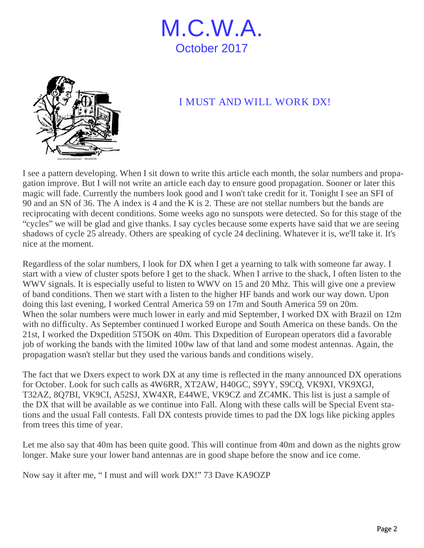



## I MUST AND WILL WORK DX!

I see a pattern developing. When I sit down to write this article each month, the solar numbers and propagation improve. But I will not write an article each day to ensure good propagation. Sooner or later this magic will fade. Currently the numbers look good and I won't take credit for it. Tonight I see an SFI of 90 and an SN of 36. The A index is 4 and the K is 2. These are not stellar numbers but the bands are reciprocating with decent conditions. Some weeks ago no sunspots were detected. So for this stage of the "cycles" we will be glad and give thanks. I say cycles because some experts have said that we are seeing shadows of cycle 25 already. Others are speaking of cycle 24 declining. Whatever it is, we'll take it. It's nice at the moment.

Regardless of the solar numbers, I look for DX when I get a yearning to talk with someone far away. I start with a view of cluster spots before I get to the shack. When I arrive to the shack, I often listen to the WWV signals. It is especially useful to listen to WWV on 15 and 20 Mhz. This will give one a preview of band conditions. Then we start with a listen to the higher HF bands and work our way down. Upon doing this last evening, I worked Central America 59 on 17m and South America 59 on 20m. When the solar numbers were much lower in early and mid September, I worked DX with Brazil on 12m with no difficulty. As September continued I worked Europe and South America on these bands. On the 21st, I worked the Dxpedition 5T5OK on 40m. This Dxpedition of European operators did a favorable job of working the bands with the limited 100w law of that land and some modest antennas. Again, the propagation wasn't stellar but they used the various bands and conditions wisely.

The fact that we Dxers expect to work DX at any time is reflected in the many announced DX operations for October. Look for such calls as 4W6RR, XT2AW, H40GC, S9YY, S9CQ, VK9XI, VK9XGJ, T32AZ, 8Q7BI, VK9CI, A52SJ, XW4XR, E44WE, VK9CZ and ZC4MK. This list is just a sample of the DX that will be available as we continue into Fall. Along with these calls will be Special Event stations and the usual Fall contests. Fall DX contests provide times to pad the DX logs like picking apples from trees this time of year.

Let me also say that 40m has been quite good. This will continue from 40m and down as the nights grow longer. Make sure your lower band antennas are in good shape before the snow and ice come.

Now say it after me, " I must and will work DX!" 73 Dave KA9OZP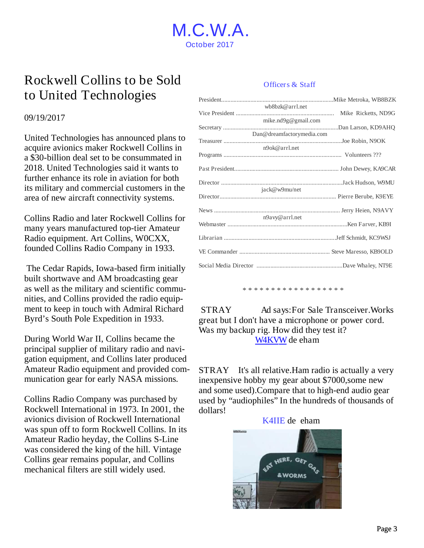

## Rockwell Collins to be Sold to United Technologies

#### 09/19/2017

United Technologies has announced plans to acquire avionics maker Rockwell Collins in a \$30-billion deal set to be consummated in 2018. United Technologies said it wants to further enhance its role in aviation for both its military and commercial customers in the area of new aircraft connectivity systems.

Collins Radio and later Rockwell Collins for many years manufactured top-tier Amateur Radio equipment. Art Collins, W0CXX, founded Collins Radio Company in 1933.

The Cedar Rapids, Iowa-based firm initially built shortwave and AM broadcasting gear as well as the military and scientific communities, and Collins provided the radio equipment to keep in touch with Admiral Richard Byrd's South Pole Expedition in 1933.

During World War II, Collins became the principal supplier of military radio and navigation equipment, and Collins later produced Amateur Radio equipment and provided communication gear for early NASA missions.

Collins Radio Company was purchased by Rockwell International in 1973. In 2001, the avionics division of Rockwell International was spun off to form Rockwell Collins. In its Amateur Radio heyday, the Collins S-Line was considered the king of the hill. Vintage Collins gear remains popular, and Collins mechanical filters are still widely used.

#### Officers & Staff

| wb8bzk@arrl.net           |  |
|---------------------------|--|
| mike.nd9g@gmail.com       |  |
|                           |  |
| Dan@dreamfactorymedia.com |  |
|                           |  |
| n9ok@arrl.net             |  |
|                           |  |
|                           |  |
|                           |  |
| jack@w9mu/net             |  |
|                           |  |
|                           |  |
| n9avy@arrl.net            |  |
|                           |  |
|                           |  |
|                           |  |
|                           |  |

\* \* \* \* \* \* \* \* \* \* \* \* \* \* \* \* \*

STRAY Ad says:For Sale Transceiver.Works great but I don't have a microphone or power cord. Was my backup rig. How did they test it? W4KVW de eham

STRAY It's all relative.Ham radio is actually a very inexpensive hobby my gear about \$7000,some new and some used).Compare that to high-end audio gear used by "audiophiles" In the hundreds of thousands of dollars!

#### K4IIE de eham